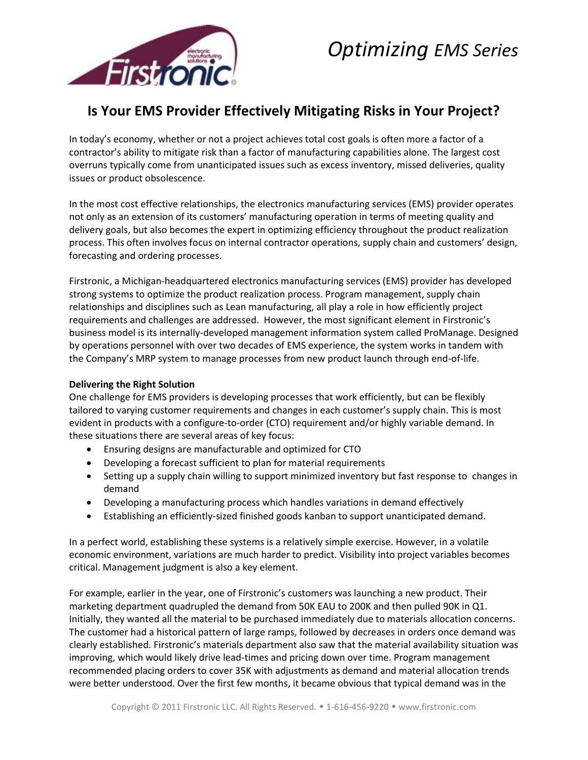

# *Optimizing EMS Series*

## **Is Your EMS Provider Effectively Mitigating Risks in Your Project?**

In today's economy, whether or not a project achieves total cost goals is often more a factor of a contractor's ability to mitigate risk than a factor of manufacturing capabilities alone. The largest cost overruns typically come from unanticipated issues such as excess inventory, missed deliveries, quality issues or product obsolescence.

In the most cost effective relationships, the electronics manufacturing services (EMS) provider operates not only as an extension of its customers' manufacturing operation in terms of meeting quality and delivery goals, but also becomes the expert in optimizing efficiency throughout the product realization process. This often involves focus on internal contractor operations, supply chain and customers' design, forecasting and ordering processes.

Firstronic, a Michigan-headquartered electronics manufacturing services (EMS) provider has developed strong systems to optimize the product realization process. Program management, supply chain relationships and disciplines such as Lean manufacturing, all play a role in how efficiently project requirements and challenges are addressed. However, the most significant element in Firstronic's business model is its internally-developed management information system called ProManage. Designed by operations personnel with over two decades of EMS experience, the system works in tandem with the Company's MRP system to manage processes from new product launch through end-of-life.

#### **Delivering the Right Solution**

One challenge for EMS providers is developing processes that work efficiently, but can be flexibly tailored to varying customer requirements and changes in each customer's supply chain. This is most evident in products with a configure-to-order (CTO) requirement and/or highly variable demand. In these situations there are several areas of key focus:

- Ensuring designs are manufacturable and optimized for CTO
- Developing a forecast sufficient to plan for material requirements
- Setting up a supply chain willing to support minimized inventory but fast response to changes in demand
- Developing a manufacturing process which handles variations in demand effectively
- Establishing an efficiently-sized finished goods kanban to support unanticipated demand.

In a perfect world, establishing these systems is a relatively simple exercise. However, in a volatile economic environment, variations are much harder to predict. Visibility into project variables becomes critical. Management judgment is also a key element.

For example, earlier in the year, one of Firstronic's customers was launching a new product. Their marketing department quadrupled the demand from 50K EAU to 200K and then pulled 90K in Q1. Initially, they wanted all the material to be purchased immediately due to materials allocation concerns. The customer had a historical pattern of large ramps, followed by decreases in orders once demand was clearly established. Firstronic's materials department also saw that the material availability situation was improving, which would likely drive lead-times and pricing down over time. Program management recommended placing orders to cover 35K with adjustments as demand and material allocation trends were better understood. Over the first few months, it became obvious that typical demand was in the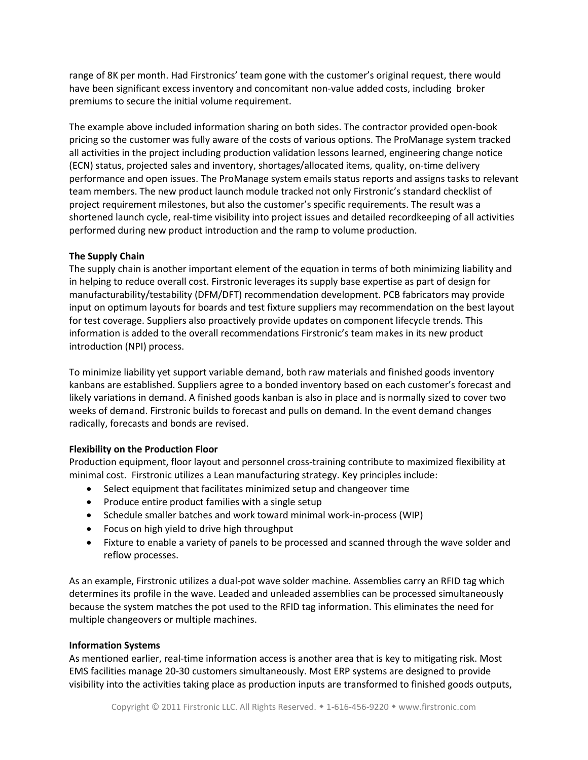range of 8K per month. Had Firstronics' team gone with the customer's original request, there would have been significant excess inventory and concomitant non-value added costs, including broker premiums to secure the initial volume requirement.

The example above included information sharing on both sides. The contractor provided open-book pricing so the customer was fully aware of the costs of various options. The ProManage system tracked all activities in the project including production validation lessons learned, engineering change notice (ECN) status, projected sales and inventory, shortages/allocated items, quality, on-time delivery performance and open issues. The ProManage system emails status reports and assigns tasks to relevant team members. The new product launch module tracked not only Firstronic's standard checklist of project requirement milestones, but also the customer's specific requirements. The result was a shortened launch cycle, real-time visibility into project issues and detailed recordkeeping of all activities performed during new product introduction and the ramp to volume production.

#### **The Supply Chain**

The supply chain is another important element of the equation in terms of both minimizing liability and in helping to reduce overall cost. Firstronic leverages its supply base expertise as part of design for manufacturability/testability (DFM/DFT) recommendation development. PCB fabricators may provide input on optimum layouts for boards and test fixture suppliers may recommendation on the best layout for test coverage. Suppliers also proactively provide updates on component lifecycle trends. This information is added to the overall recommendations Firstronic's team makes in its new product introduction (NPI) process.

To minimize liability yet support variable demand, both raw materials and finished goods inventory kanbans are established. Suppliers agree to a bonded inventory based on each customer's forecast and likely variations in demand. A finished goods kanban is also in place and is normally sized to cover two weeks of demand. Firstronic builds to forecast and pulls on demand. In the event demand changes radically, forecasts and bonds are revised.

### **Flexibility on the Production Floor**

Production equipment, floor layout and personnel cross-training contribute to maximized flexibility at minimal cost. Firstronic utilizes a Lean manufacturing strategy. Key principles include:

- Select equipment that facilitates minimized setup and changeover time
- Produce entire product families with a single setup
- Schedule smaller batches and work toward minimal work-in-process (WIP)
- Focus on high yield to drive high throughput
- Fixture to enable a variety of panels to be processed and scanned through the wave solder and reflow processes.

As an example, Firstronic utilizes a dual-pot wave solder machine. Assemblies carry an RFID tag which determines its profile in the wave. Leaded and unleaded assemblies can be processed simultaneously because the system matches the pot used to the RFID tag information. This eliminates the need for multiple changeovers or multiple machines.

#### **Information Systems**

As mentioned earlier, real-time information access is another area that is key to mitigating risk. Most EMS facilities manage 20-30 customers simultaneously. Most ERP systems are designed to provide visibility into the activities taking place as production inputs are transformed to finished goods outputs,